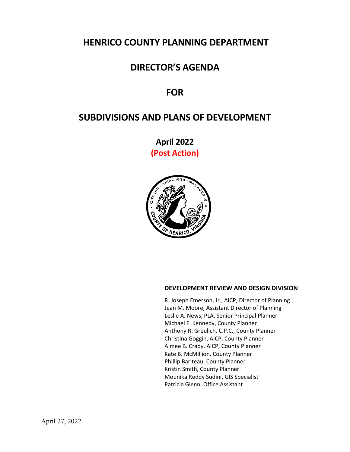## **HENRICO COUNTY PLANNING DEPARTMENT**

## **DIRECTOR'S AGENDA**

## **FOR**

# **SUBDIVISIONS AND PLANS OF DEVELOPMENT**

**April 2022 (Post Action)**



### **DEVELOPMENT REVIEW AND DESIGN DIVISION**

R. Joseph Emerson, Jr., AICP, Director of Planning Jean M. Moore, Assistant Director of Planning Leslie A. News, PLA, Senior Principal Planner Michael F. Kennedy, County Planner Anthony R. Greulich, C.P.C., County Planner Christina Goggin, AICP, County Planner Aimee B. Crady, AICP, County Planner Kate B. McMillion, County Planner Phillip Bariteau, County Planner Kristin Smith, County Planner Mounika Reddy Sudini, GIS Specialist Patricia Glenn, Office Assistant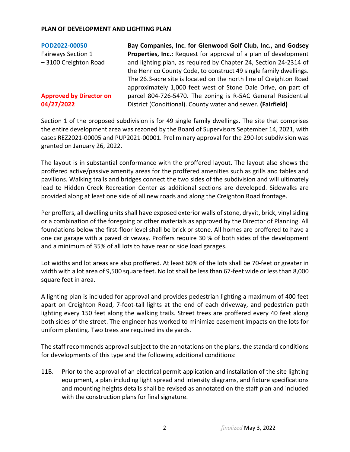| Bay Companies, Inc. for Glenwood Golf Club, Inc., and Godsey                                                                |
|-----------------------------------------------------------------------------------------------------------------------------|
| Properties, Inc.: Request for approval of a plan of development                                                             |
| and lighting plan, as required by Chapter 24, Section 24-2314 of                                                            |
| the Henrico County Code, to construct 49 single family dwellings.                                                           |
| The 26.3-acre site is located on the north line of Creighton Road                                                           |
| approximately 1,000 feet west of Stone Dale Drive, on part of                                                               |
| parcel 804-726-5470. The zoning is R-5AC General Residential<br>District (Conditional). County water and sewer. (Fairfield) |
|                                                                                                                             |

Section 1 of the proposed subdivision is for 49 single family dwellings. The site that comprises the entire development area was rezoned by the Board of Supervisors September 14, 2021, with cases REZ2021-00005 and PUP2021-00001. Preliminary approval for the 290-lot subdivision was granted on January 26, 2022.

The layout is in substantial conformance with the proffered layout. The layout also shows the proffered active/passive amenity areas for the proffered amenities such as grills and tables and pavilions. Walking trails and bridges connect the two sides of the subdivision and will ultimately lead to Hidden Creek Recreation Center as additional sections are developed. Sidewalks are provided along at least one side of all new roads and along the Creighton Road frontage.

Per proffers, all dwelling units shall have exposed exterior walls of stone, dryvit, brick, vinyl siding or a combination of the foregoing or other materials as approved by the Director of Planning. All foundations below the first-floor level shall be brick or stone. All homes are proffered to have a one car garage with a paved driveway. Proffers require 30 % of both sides of the development and a minimum of 35% of all lots to have rear or side load garages.

Lot widths and lot areas are also proffered. At least 60% of the lots shall be 70-feet or greater in width with a lot area of 9,500 square feet. No lot shall be less than 67-feet wide or less than 8,000 square feet in area.

A lighting plan is included for approval and provides pedestrian lighting a maximum of 400 feet apart on Creighton Road, 7-foot-tall lights at the end of each driveway, and pedestrian path lighting every 150 feet along the walking trails. Street trees are proffered every 40 feet along both sides of the street. The engineer has worked to minimize easement impacts on the lots for uniform planting. Two trees are required inside yards.

The staff recommends approval subject to the annotations on the plans, the standard conditions for developments of this type and the following additional conditions:

11B. Prior to the approval of an electrical permit application and installation of the site lighting equipment, a plan including light spread and intensity diagrams, and fixture specifications and mounting heights details shall be revised as annotated on the staff plan and included with the construction plans for final signature.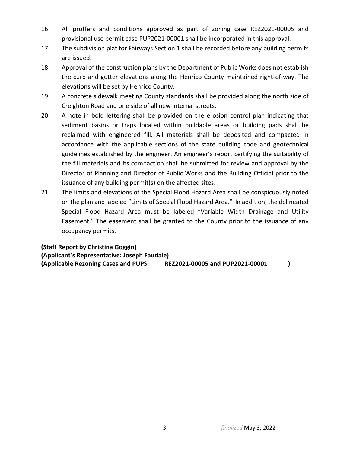- 16. All proffers and conditions approved as part of zoning case REZ2021-00005 and provisional use permit case PUP2021-00001 shall be incorporated in this approval.
- 17. The subdivision plat for Fairways Section 1 shall be recorded before any building permits are issued.
- 18. Approval of the construction plans by the Department of Public Works does not establish the curb and gutter elevations along the Henrico County maintained right-of-way. The elevations will be set by Henrico County.
- 19. A concrete sidewalk meeting County standards shall be provided along the north side of Creighton Road and one side of all new internal streets.
- 20. A note in bold lettering shall be provided on the erosion control plan indicating that sediment basins or traps located within buildable areas or building pads shall be reclaimed with engineered fill. All materials shall be deposited and compacted in accordance with the applicable sections of the state building code and geotechnical guidelines established by the engineer. An engineer's report certifying the suitability of the fill materials and its compaction shall be submitted for review and approval by the Director of Planning and Director of Public Works and the Building Official prior to the issuance of any building permit(s) on the affected sites.
- 21. The limits and elevations of the Special Flood Hazard Area shall be conspicuously noted on the plan and labeled "Limits of Special Flood Hazard Area." In addition, the delineated Special Flood Hazard Area must be labeled "Variable Width Drainage and Utility Easement." The easement shall be granted to the County prior to the issuance of any occupancy permits.

**(Staff Report by Christina Goggin) (Applicant's Representative: Joseph Faudale) (Applicable Rezoning Cases and PUPS: REZ2021-00005 and PUP2021-00001 )**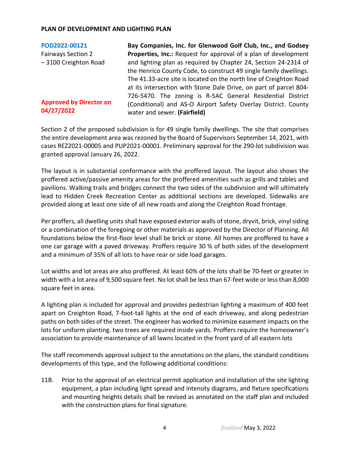| POD2022-00121                                | Bay Companies, Inc. for Glenwood Golf Club, Inc., and Godsey                                   |
|----------------------------------------------|------------------------------------------------------------------------------------------------|
| <b>Fairways Section 2</b>                    | Properties, Inc.: Request for approval of a plan of development                                |
| -3100 Creighton Road                         | and lighting plan as required by Chapter 24, Section 24-2314 of                                |
|                                              | the Henrico County Code, to construct 49 single family dwellings.                              |
|                                              | The 41.33-acre site is located on the north line of Creighton Road                             |
|                                              | at its intersection with Stone Dale Drive, on part of parcel 804-                              |
|                                              | 726-5470. The zoning is R-5AC General Residential District                                     |
| <b>Approved by Director on</b><br>04/27/2022 | (Conditional) and AS-O Airport Safety Overlay District. County<br>water and sewer. (Fairfield) |

Section 2 of the proposed subdivision is for 49 single family dwellings. The site that comprises the entire development area was rezoned by the Board of Supervisors September 14, 2021, with cases REZ2021-00005 and PUP2021-00001. Preliminary approval for the 290-lot subdivision was granted approval January 26, 2022.

The layout is in substantial conformance with the proffered layout. The layout also shows the proffered active/passive amenity areas for the proffered amenities such as grills and tables and pavilions. Walking trails and bridges connect the two sides of the subdivision and will ultimately lead to Hidden Creek Recreation Center as additional sections are developed. Sidewalks are provided along at least one side of all new roads and along the Creighton Road frontage.

Per proffers, all dwelling units shall have exposed exterior walls of stone, dryvit, brick, vinyl siding or a combination of the foregoing or other materials as approved by the Director of Planning. All foundations below the first-floor level shall be brick or stone. All homes are proffered to have a one car garage with a paved driveway. Proffers require 30 % of both sides of the development and a minimum of 35% of all lots to have rear or side load garages.

Lot widths and lot areas are also proffered. At least 60% of the lots shall be 70-feet or greater in width with a lot area of 9,500 square feet. No lot shall be less than 67-feet wide or less than 8,000 square feet in area.

A lighting plan is included for approval and provides pedestrian lighting a maximum of 400 feet apart on Creighton Road, 7-foot-tall lights at the end of each driveway, and along pedestrian paths on both sides of the street. The engineer has worked to minimize easement impacts on the lots for uniform planting. two trees are required inside yards. Proffers require the homeowner's association to provide maintenance of all lawns located in the front yard of all eastern lots

The staff recommends approval subject to the annotations on the plans, the standard conditions developments of this type, and the following additional conditions:

11B. Prior to the approval of an electrical permit application and installation of the site lighting equipment, a plan including light spread and intensity diagrams, and fixture specifications and mounting heights details shall be revised as annotated on the staff plan and included with the construction plans for final signature.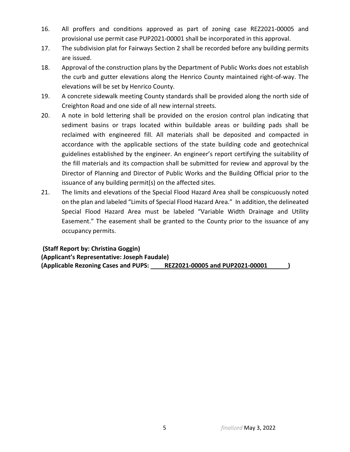- 16. All proffers and conditions approved as part of zoning case REZ2021-00005 and provisional use permit case PUP2021-00001 shall be incorporated in this approval.
- 17. The subdivision plat for Fairways Section 2 shall be recorded before any building permits are issued.
- 18. Approval of the construction plans by the Department of Public Works does not establish the curb and gutter elevations along the Henrico County maintained right-of-way. The elevations will be set by Henrico County.
- 19. A concrete sidewalk meeting County standards shall be provided along the north side of Creighton Road and one side of all new internal streets.
- 20. A note in bold lettering shall be provided on the erosion control plan indicating that sediment basins or traps located within buildable areas or building pads shall be reclaimed with engineered fill. All materials shall be deposited and compacted in accordance with the applicable sections of the state building code and geotechnical guidelines established by the engineer. An engineer's report certifying the suitability of the fill materials and its compaction shall be submitted for review and approval by the Director of Planning and Director of Public Works and the Building Official prior to the issuance of any building permit(s) on the affected sites.
- 21. The limits and elevations of the Special Flood Hazard Area shall be conspicuously noted on the plan and labeled "Limits of Special Flood Hazard Area." In addition, the delineated Special Flood Hazard Area must be labeled "Variable Width Drainage and Utility Easement." The easement shall be granted to the County prior to the issuance of any occupancy permits.

**(Staff Report by: Christina Goggin) (Applicant's Representative: Joseph Faudale) (Applicable Rezoning Cases and PUPS: REZ2021-00005 and PUP2021-00001 )**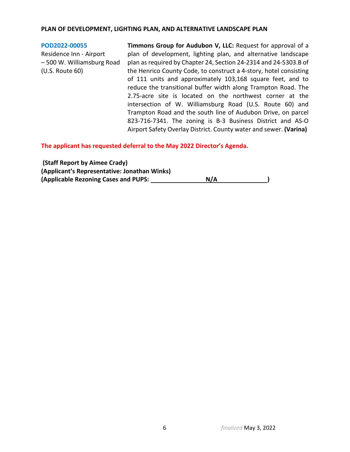#### **PLAN OF DEVELOPMENT, LIGHTING PLAN, AND ALTERNATIVE LANDSCAPE PLAN**

**[POD2022-00055](https://henrico.us/pdfs/planning/2022/apr22/pod/pod2022-00055.pdf)** Residence Inn - Airport – 500 W. Williamsburg Road (U.S. Route 60) **Timmons Group for Audubon V, LLC:** Request for approval of a plan of development, lighting plan, and alternative landscape plan as required by Chapter 24, Section 24-2314 and 24-5303.B of the Henrico County Code, to construct a 4-story, hotel consisting of 111 units and approximately 103,168 square feet, and to reduce the transitional buffer width along Trampton Road. The 2.75-acre site is located on the northwest corner at the intersection of W. Williamsburg Road (U.S. Route 60) and Trampton Road and the south line of Audubon Drive, on parcel 823-716-7341. The zoning is B-3 Business District and AS-O

Airport Safety Overlay District. County water and sewer. **(Varina)**

**The applicant has requested deferral to the May 2022 Director's Agenda.**

| (Staff Report by Aimee Crady)                |     |
|----------------------------------------------|-----|
| (Applicant's Representative: Jonathan Winks) |     |
| (Applicable Rezoning Cases and PUPS:         | N/A |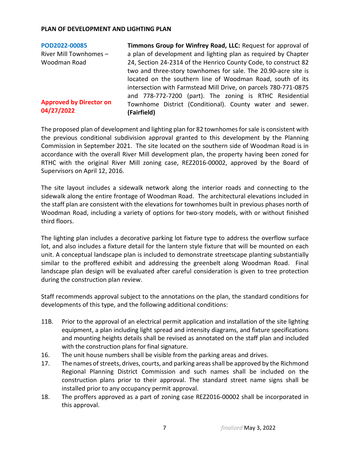**[POD2022-00085](https://henrico.us/pdfs/planning/2022/apr22/pod/pod2022-00085.pdf)** River Mill Townhomes – Woodman Road **Approved by Director on 04/27/2022 Timmons Group for Winfrey Road, LLC:** Request for approval of a plan of development and lighting plan as required by Chapter 24, Section 24-2314 of the Henrico County Code, to construct 82 two and three-story townhomes for sale. The 20.90-acre site is located on the southern line of Woodman Road, south of its intersection with Farmstead Mill Drive, on parcels 780-771-0875 and 778-772-7200 (part). The zoning is RTHC Residential Townhome District (Conditional). County water and sewer. **(Fairfield)**

The proposed plan of development and lighting plan for 82 townhomes for sale is consistent with the previous conditional subdivision approval granted to this development by the Planning Commission in September 2021. The site located on the southern side of Woodman Road is in accordance with the overall River Mill development plan, the property having been zoned for RTHC with the original River Mill zoning case, REZ2016-00002, approved by the Board of Supervisors on April 12, 2016.

The site layout includes a sidewalk network along the interior roads and connecting to the sidewalk along the entire frontage of Woodman Road. The architectural elevations included in the staff plan are consistent with the elevations for townhomes built in previous phases north of Woodman Road, including a variety of options for two-story models, with or without finished third floors.

The lighting plan includes a decorative parking lot fixture type to address the overflow surface lot, and also includes a fixture detail for the lantern style fixture that will be mounted on each unit. A conceptual landscape plan is included to demonstrate streetscape planting substantially similar to the proffered exhibit and addressing the greenbelt along Woodman Road. Final landscape plan design will be evaluated after careful consideration is given to tree protection during the construction plan review.

Staff recommends approval subject to the annotations on the plan, the standard conditions for developments of this type, and the following additional conditions:

- 11B. Prior to the approval of an electrical permit application and installation of the site lighting equipment, a plan including light spread and intensity diagrams, and fixture specifications and mounting heights details shall be revised as annotated on the staff plan and included with the construction plans for final signature.
- 16. The unit house numbers shall be visible from the parking areas and drives.
- 17. The names of streets, drives, courts, and parking areas shall be approved by the Richmond Regional Planning District Commission and such names shall be included on the construction plans prior to their approval. The standard street name signs shall be installed prior to any occupancy permit approval.
- 18. The proffers approved as a part of zoning case REZ2016-00002 shall be incorporated in this approval.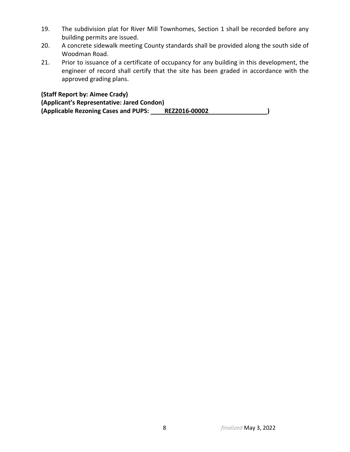- 19. The subdivision plat for River Mill Townhomes, Section 1 shall be recorded before any building permits are issued.
- 20. A concrete sidewalk meeting County standards shall be provided along the south side of Woodman Road.
- 21. Prior to issuance of a certificate of occupancy for any building in this development, the engineer of record shall certify that the site has been graded in accordance with the approved grading plans.

**(Staff Report by: Aimee Crady) (Applicant's Representative: Jared Condon) (Applicable Rezoning Cases and PUPS: REZ2016-00002 )**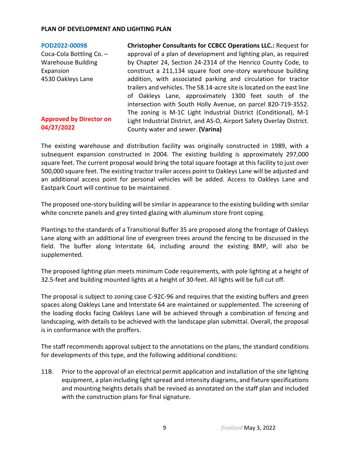#### **[POD2022-00098](https://henrico.us/pdfs/planning/2022/apr22/pod/pod2022-00098.pdf)**

Coca-Cola Bottling Co. – Warehouse Building Expansion 4530 Oakleys Lane

### **Approved by Director on 04/27/2022**

**Christopher Consultants for CCBCC Operations LLC.:** Request for approval of a plan of development and lighting plan, as required by Chapter 24, Section 24-2314 of the Henrico County Code, to construct a 211,134 square foot one-story warehouse building addition, with associated parking and circulation for tractor trailers and vehicles. The 58.14-acre site is located on the east line of Oakleys Lane, approximately 1300 feet south of the intersection with South Holly Avenue, on parcel 820-719-3552. The zoning is M-1C Light Industrial District (Conditional), M-1 Light Industrial District, and AS-O, Airport Safety Overlay District. County water and sewer. **(Varina)**

The existing warehouse and distribution facility was originally constructed in 1989, with a subsequent expansion constructed in 2004. The existing building is approximately 297,000 square feet. The current proposal would bring the total square footage at this facility to just over 500,000 square feet. The existing tractor trailer access point to Oakleys Lane will be adjusted and an additional access point for personal vehicles will be added. Access to Oakleys Lane and Eastpark Court will continue to be maintained.

The proposed one-story building will be similar in appearance to the existing building with similar white concrete panels and grey tinted glazing with aluminum store front coping.

Plantings to the standards of a Transitional Buffer 35 are proposed along the frontage of Oakleys Lane along with an additional line of evergreen trees around the fencing to be discussed in the field. The buffer along Interstate 64, including around the existing BMP, will also be supplemented.

The proposed lighting plan meets minimum Code requirements, with pole lighting at a height of 32.5-feet and building mounted lights at a height of 30-feet. All lights will be full cut off.

The proposal is subject to zoning case C-92C-96 and requires that the existing buffers and green spaces along Oakleys Lane and Interstate 64 are maintained or supplemented. The screening of the loading docks facing Oakleys Lane will be achieved through a combination of fencing and landscaping, with details to be achieved with the landscape plan submittal. Overall, the proposal is in conformance with the proffers.

The staff recommends approval subject to the annotations on the plans, the standard conditions for developments of this type, and the following additional conditions:

11B. Prior to the approval of an electrical permit application and installation of the site lighting equipment, a plan including light spread and intensity diagrams, and fixture specifications and mounting heights details shall be revised as annotated on the staff plan and included with the construction plans for final signature.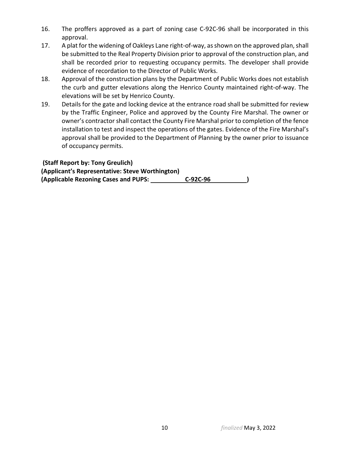- 16. The proffers approved as a part of zoning case C-92C-96 shall be incorporated in this approval.
- 17. A plat for the widening of Oakleys Lane right-of-way, as shown on the approved plan, shall be submitted to the Real Property Division prior to approval of the construction plan, and shall be recorded prior to requesting occupancy permits. The developer shall provide evidence of recordation to the Director of Public Works.
- 18. Approval of the construction plans by the Department of Public Works does not establish the curb and gutter elevations along the Henrico County maintained right-of-way. The elevations will be set by Henrico County.
- 19. Details for the gate and locking device at the entrance road shall be submitted for review by the Traffic Engineer, Police and approved by the County Fire Marshal. The owner or owner's contractor shall contact the County Fire Marshal prior to completion of the fence installation to test and inspect the operations of the gates. Evidence of the Fire Marshal's approval shall be provided to the Department of Planning by the owner prior to issuance of occupancy permits.

| (Staff Report by: Tony Greulich)                |          |  |
|-------------------------------------------------|----------|--|
| (Applicant's Representative: Steve Worthington) |          |  |
| (Applicable Rezoning Cases and PUPS:            | C-92C-96 |  |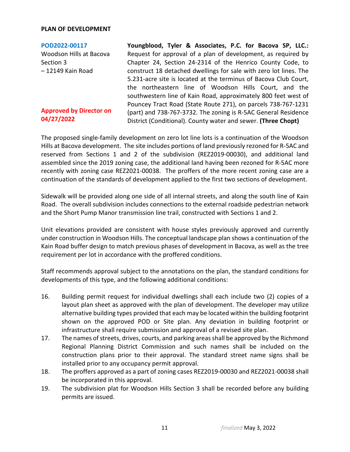#### **PLAN OF DEVELOPMENT**

**[POD2022-00117](https://henrico.us/pdfs/planning/2022/apr22/pod/pod2022-00117.pdf)** Woodson Hills at Bacova Section 3 – 12149 Kain Road

### **Approved by Director on 04/27/2022**

**Youngblood, Tyler & Associates, P.C. for Bacova SP, LLC.:**  Request for approval of a plan of development, as required by Chapter 24, Section 24-2314 of the Henrico County Code, to construct 18 detached dwellings for sale with zero lot lines. The 5.231-acre site is located at the terminus of Bacova Club Court, the northeastern line of Woodson Hills Court, and the southwestern line of Kain Road, approximately 800 feet west of Pouncey Tract Road (State Route 271), on parcels 738-767-1231 (part) and 738-767-3732. The zoning is R-5AC General Residence District (Conditional). County water and sewer. **(Three Chopt)**

The proposed single-family development on zero lot line lots is a continuation of the Woodson Hills at Bacova development. The site includes portions of land previously rezoned for R-5AC and reserved from Sections 1 and 2 of the subdivision (REZ2019-00030), and additional land assembled since the 2019 zoning case, the additional land having been rezoned for R-5AC more recently with zoning case REZ2021-00038. The proffers of the more recent zoning case are a continuation of the standards of development applied to the first two sections of development.

Sidewalk will be provided along one side of all internal streets, and along the south line of Kain Road. The overall subdivision includes connections to the external roadside pedestrian network and the Short Pump Manor transmission line trail, constructed with Sections 1 and 2.

Unit elevations provided are consistent with house styles previously approved and currently under construction in Woodson Hills. The conceptual landscape plan shows a continuation of the Kain Road buffer design to match previous phases of development in Bacova, as well as the tree requirement per lot in accordance with the proffered conditions.

Staff recommends approval subject to the annotations on the plan, the standard conditions for developments of this type, and the following additional conditions:

- 16. Building permit request for individual dwellings shall each include two (2) copies of a layout plan sheet as approved with the plan of development. The developer may utilize alternative building types provided that each may be located within the building footprint shown on the approved POD or Site plan. Any deviation in building footprint or infrastructure shall require submission and approval of a revised site plan.
- 17. The names of streets, drives, courts, and parking areas shall be approved by the Richmond Regional Planning District Commission and such names shall be included on the construction plans prior to their approval. The standard street name signs shall be installed prior to any occupancy permit approval.
- 18. The proffers approved as a part of zoning cases REZ2019-00030 and REZ2021-00038 shall be incorporated in this approval.
- 19. The subdivision plat for Woodson Hills Section 3 shall be recorded before any building permits are issued.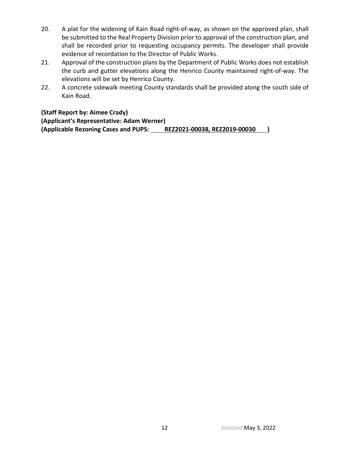- 20. A plat for the widening of Kain Road right-of-way, as shown on the approved plan, shall be submitted to the Real Property Division prior to approval of the construction plan, and shall be recorded prior to requesting occupancy permits. The developer shall provide evidence of recordation to the Director of Public Works.
- 21. Approval of the construction plans by the Department of Public Works does not establish the curb and gutter elevations along the Henrico County maintained right-of-way. The elevations will be set by Henrico County.
- 22. A concrete sidewalk meeting County standards shall be provided along the south side of Kain Road.

**(Staff Report by: Aimee Crady)**

**(Applicant's Representative: Adam Werner) (Applicable Rezoning Cases and PUPS: REZ2021-00038, REZ2019-00030 )**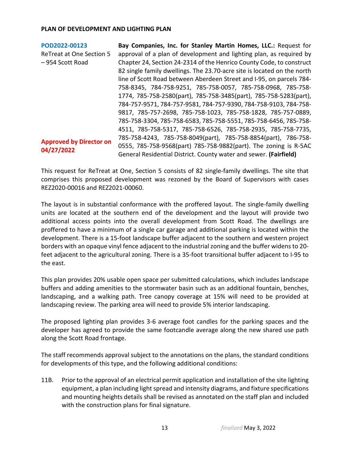| POD2022-00123                   | Bay Companies, Inc. for Stanley Martin Homes, LLC.: Request for         |
|---------------------------------|-------------------------------------------------------------------------|
| <b>ReTreat at One Section 5</b> | approval of a plan of development and lighting plan, as required by     |
| - 954 Scott Road                | Chapter 24, Section 24-2314 of the Henrico County Code, to construct    |
|                                 | 82 single family dwellings. The 23.70-acre site is located on the north |
|                                 | line of Scott Road between Aberdeen Street and I-95, on parcels 784-    |
|                                 | 758-8345, 784-758-9251, 785-758-0057, 785-758-0968, 785-758-            |
|                                 | 1774, 785-758-2580(part), 785-758-3485(part), 785-758-5283(part),       |
|                                 | 784-757-9571, 784-757-9581, 784-757-9390, 784-758-9103, 784-758-        |
|                                 | 9817, 785-757-2698, 785-758-1023, 785-758-1828, 785-757-0889,           |
|                                 | 785-758-3304, 785-758-6583, 785-758-5551, 785-758-6456, 785-758-        |
|                                 | 4511, 785-758-5317, 785-758-6526, 785-758-2935, 785-758-7735,           |
| <b>Approved by Director on</b>  | 785-758-4243, 785-758-8049(part), 785-758-8854(part), 786-758-          |
|                                 | 0555, 785-758-9568(part) 785-758-9882(part). The zoning is R-5AC        |
| 04/27/2022                      | General Residential District. County water and sewer. (Fairfield)       |

This request for ReTreat at One, Section 5 consists of 82 single-family dwellings. The site that comprises this proposed development was rezoned by the Board of Supervisors with cases REZ2020-00016 and REZ2021-00060.

The layout is in substantial conformance with the proffered layout. The single-family dwelling units are located at the southern end of the development and the layout will provide two additional access points into the overall development from Scott Road. The dwellings are proffered to have a minimum of a single car garage and additional parking is located within the development. There is a 15-foot landscape buffer adjacent to the southern and western project borders with an opaque vinyl fence adjacent to the industrial zoning and the buffer widens to 20 feet adjacent to the agricultural zoning. There is a 35-foot transitional buffer adjacent to I-95 to the east.

This plan provides 20% usable open space per submitted calculations, which includes landscape buffers and adding amenities to the stormwater basin such as an additional fountain, benches, landscaping, and a walking path. Tree canopy coverage at 15% will need to be provided at landscaping review. The parking area will need to provide 5% interior landscaping.

The proposed lighting plan provides 3-6 average foot candles for the parking spaces and the developer has agreed to provide the same footcandle average along the new shared use path along the Scott Road frontage.

The staff recommends approval subject to the annotations on the plans, the standard conditions for developments of this type, and the following additional conditions:

11B. Prior to the approval of an electrical permit application and installation of the site lighting equipment, a plan including light spread and intensity diagrams, and fixture specifications and mounting heights details shall be revised as annotated on the staff plan and included with the construction plans for final signature.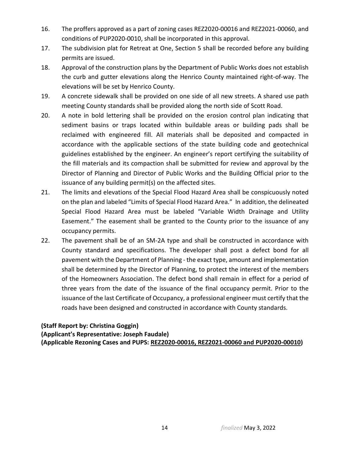- 16. The proffers approved as a part of zoning cases REZ2020-00016 and REZ2021-00060, and conditions of PUP2020-0010, shall be incorporated in this approval.
- 17. The subdivision plat for Retreat at One, Section 5 shall be recorded before any building permits are issued.
- 18. Approval of the construction plans by the Department of Public Works does not establish the curb and gutter elevations along the Henrico County maintained right-of-way. The elevations will be set by Henrico County.
- 19. A concrete sidewalk shall be provided on one side of all new streets. A shared use path meeting County standards shall be provided along the north side of Scott Road.
- 20. A note in bold lettering shall be provided on the erosion control plan indicating that sediment basins or traps located within buildable areas or building pads shall be reclaimed with engineered fill. All materials shall be deposited and compacted in accordance with the applicable sections of the state building code and geotechnical guidelines established by the engineer. An engineer's report certifying the suitability of the fill materials and its compaction shall be submitted for review and approval by the Director of Planning and Director of Public Works and the Building Official prior to the issuance of any building permit(s) on the affected sites.
- 21. The limits and elevations of the Special Flood Hazard Area shall be conspicuously noted on the plan and labeled "Limits of Special Flood Hazard Area." In addition, the delineated Special Flood Hazard Area must be labeled "Variable Width Drainage and Utility Easement." The easement shall be granted to the County prior to the issuance of any occupancy permits.
- 22. The pavement shall be of an SM-2A type and shall be constructed in accordance with County standard and specifications. The developer shall post a defect bond for all pavement with the Department of Planning - the exact type, amount and implementation shall be determined by the Director of Planning, to protect the interest of the members of the Homeowners Association. The defect bond shall remain in effect for a period of three years from the date of the issuance of the final occupancy permit. Prior to the issuance of the last Certificate of Occupancy, a professional engineer must certify that the roads have been designed and constructed in accordance with County standards.

## **(Staff Report by: Christina Goggin)**

**(Applicant's Representative: Joseph Faudale) (Applicable Rezoning Cases and PUPS: REZ2020-00016, REZ2021-00060 and PUP2020-00010)**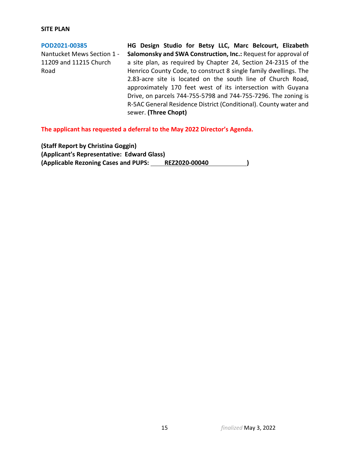#### **SITE PLAN**

**[POD2021-00385](https://henrico.us/pdfs/planning/2022/apr22/pod/pod2021-00385.pdf)** Nantucket Mews Section 1 - 11209 and 11215 Church Road **HG Design Studio for Betsy LLC, Marc Belcourt, Elizabeth Salomonsky and SWA Construction, Inc.:** Request for approval of a site plan, as required by Chapter 24, Section 24-2315 of the Henrico County Code, to construct 8 single family dwellings. The 2.83-acre site is located on the south line of Church Road, approximately 170 feet west of its intersection with Guyana Drive, on parcels 744-755-5798 and 744-755-7296. The zoning is R-5AC General Residence District (Conditional). County water and sewer. **(Three Chopt)**

**The applicant has requested a deferral to the May 2022 Director's Agenda.**

**(Staff Report by Christina Goggin) (Applicant's Representative: Edward Glass) (Applicable Rezoning Cases and PUPS: REZ2020-00040 )**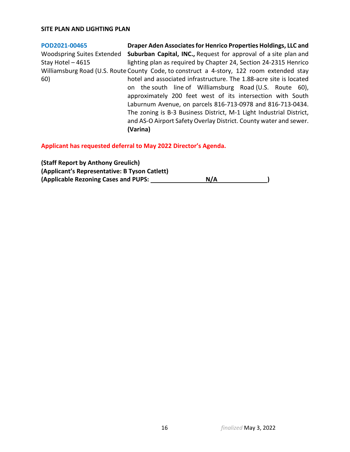#### **SITE PLAN AND LIGHTING PLAN**

#### **[POD2021-00465](https://henrico.us/pdfs/planning/2022/apr22/pod/pod2021-00465.pdf)** Woodspring Suites Extended Stay Hotel – 4615 Williamsburg Road (U.S. Route County Code, to construct a 4-story, 122 room extended stay 60) **Draper Aden Associates for Henrico Properties Holdings, LLC and Suburban Capital, INC.,** Request for approval of a site plan and lighting plan as required by Chapter 24, Section 24-2315 Henrico hotel and associated infrastructure. The 1.88-acre site is located on the south line of Williamsburg Road (U.S. Route 60), approximately 200 feet west of its intersection with South Laburnum Avenue, on parcels 816-713-0978 and 816-713-0434. The zoning is B-3 Business District, M-1 Light Industrial District, and AS-O Airport Safety Overlay District. County water and sewer. **(Varina)**

**Applicant has requested deferral to May 2022 Director's Agenda.**

| (Staff Report by Anthony Greulich)            |     |
|-----------------------------------------------|-----|
| (Applicant's Representative: B Tyson Catlett) |     |
| (Applicable Rezoning Cases and PUPS:          | N/A |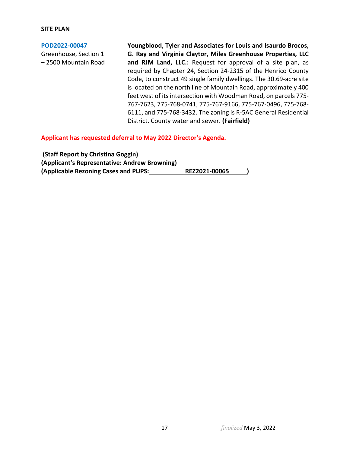#### **SITE PLAN**

#### **[POD2022-00047](https://henrico.us/pdfs/planning/2022/apr22/pod/pod2022-00047.pdf)**

Greenhouse, Section 1 – 2500 Mountain Road **Youngblood, Tyler and Associates for Louis and Isaurdo Brocos, G. Ray and Virginia Claytor, Miles Greenhouse Properties, LLC and RJM Land, LLC.:** Request for approval of a site plan, as required by Chapter 24, Section 24-2315 of the Henrico County Code, to construct 49 single family dwellings. The 30.69-acre site is located on the north line of Mountain Road, approximately 400 feet west of its intersection with Woodman Road, on parcels 775- 767-7623, 775-768-0741, 775-767-9166, 775-767-0496, 775-768- 6111, and 775-768-3432. The zoning is R-5AC General Residential District. County water and sewer. **(Fairfield)**

**Applicant has requested deferral to May 2022 Director's Agenda.**

| (Staff Report by Christina Goggin)            |               |  |
|-----------------------------------------------|---------------|--|
| (Applicant's Representative: Andrew Browning) |               |  |
| (Applicable Rezoning Cases and PUPS:          | REZ2021-00065 |  |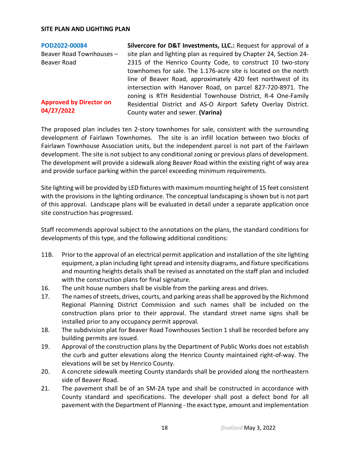#### **SITE PLAN AND LIGHTING PLAN**

| POD2022-00084                  | Silvercore for D&T Investments, LLC.: Request for approval of a    |
|--------------------------------|--------------------------------------------------------------------|
| Beaver Road Townhouses -       | site plan and lighting plan as required by Chapter 24, Section 24- |
| Beaver Road                    | 2315 of the Henrico County Code, to construct 10 two-story         |
|                                | townhomes for sale. The 1.176-acre site is located on the north    |
|                                | line of Beaver Road, approximately 420 feet northwest of its       |
|                                | intersection with Hanover Road, on parcel 827-720-8971. The        |
|                                | zoning is RTH Residential Townhouse District, R-4 One-Family       |
| <b>Approved by Director on</b> | Residential District and AS-O Airport Safety Overlay District.     |
| 04/27/2022                     | County water and sewer. (Varina)                                   |
|                                |                                                                    |

The proposed plan includes ten 2-story townhomes for sale, consistent with the surrounding development of Fairlawn Townhomes. The site is an infill location between two blocks of Fairlawn Townhouse Association units, but the independent parcel is not part of the Fairlawn development. The site is not subject to any conditional zoning or previous plans of development. The development will provide a sidewalk along Beaver Road within the existing right of way area and provide surface parking within the parcel exceeding minimum requirements.

Site lighting will be provided by LED fixtures with maximum mounting height of 15 feet consistent with the provisions in the lighting ordinance. The conceptual landscaping is shown but is not part of this approval. Landscape plans will be evaluated in detail under a separate application once site construction has progressed.

Staff recommends approval subject to the annotations on the plans, the standard conditions for developments of this type, and the following additional conditions:

- 11B. Prior to the approval of an electrical permit application and installation of the site lighting equipment, a plan including light spread and intensity diagrams, and fixture specifications and mounting heights details shall be revised as annotated on the staff plan and included with the construction plans for final signature.
- 16. The unit house numbers shall be visible from the parking areas and drives.
- 17. The names of streets, drives, courts, and parking areas shall be approved by the Richmond Regional Planning District Commission and such names shall be included on the construction plans prior to their approval. The standard street name signs shall be installed prior to any occupancy permit approval.
- 18. The subdivision plat for Beaver Road Townhouses Section 1 shall be recorded before any building permits are issued.
- 19. Approval of the construction plans by the Department of Public Works does not establish the curb and gutter elevations along the Henrico County maintained right-of-way. The elevations will be set by Henrico County.
- 20. A concrete sidewalk meeting County standards shall be provided along the northeastern side of Beaver Road.
- 21. The pavement shall be of an SM-2A type and shall be constructed in accordance with County standard and specifications. The developer shall post a defect bond for all pavement with the Department of Planning - the exact type, amount and implementation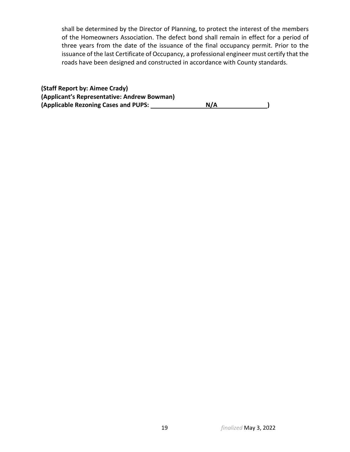shall be determined by the Director of Planning, to protect the interest of the members of the Homeowners Association. The defect bond shall remain in effect for a period of three years from the date of the issuance of the final occupancy permit. Prior to the issuance of the last Certificate of Occupancy, a professional engineer must certify that the roads have been designed and constructed in accordance with County standards.

| (Staff Report by: Aimee Crady)              |     |  |
|---------------------------------------------|-----|--|
| (Applicant's Representative: Andrew Bowman) |     |  |
| (Applicable Rezoning Cases and PUPS:        | N/A |  |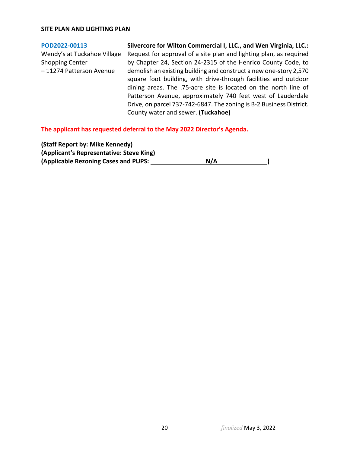#### **SITE PLAN AND LIGHTING PLAN**

#### **[POD2022-00113](https://henrico.us/pdfs/planning/2022/apr22/pod/pod2022-00113.pdf)**

Wendy's at Tuckahoe Village Shopping Center – 11274 Patterson Avenue

**Silvercore for Wilton Commercial I, LLC., and Wen Virginia, LLC.:**  Request for approval of a site plan and lighting plan, as required by Chapter 24, Section 24-2315 of the Henrico County Code, to demolish an existing building and construct a new one-story 2,570 square foot building, with drive-through facilities and outdoor dining areas. The .75-acre site is located on the north line of Patterson Avenue, approximately 740 feet west of Lauderdale Drive, on parcel 737-742-6847. The zoning is B-2 Business District. County water and sewer. **(Tuckahoe)**

**The applicant has requested deferral to the May 2022 Director's Agenda.**

**(Staff Report by: Mike Kennedy) (Applicant's Representative: Steve King)** (Applicable Rezoning Cases and PUPS: N/A N/A )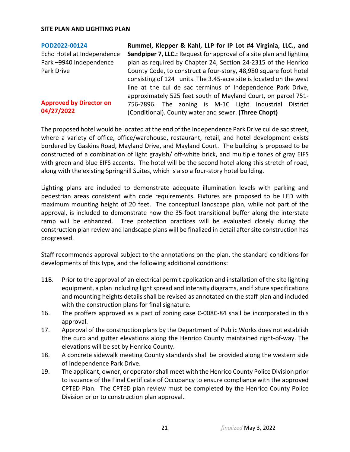#### **SITE PLAN AND LIGHTING PLAN**

#### **[POD2022-00124](https://henrico.us/pdfs/planning/2022/apr22/pod/pod2022-00124.pdf)**

Echo Hotel at Independence Park –9940 Independence Park Drive

### **Approved by Director on 04/27/2022**

**Rummel, Klepper & Kahl, LLP for IP Lot #4 Virginia, LLC., and Sandpiper 7, LLC.:** Request for approval of a site plan and lighting plan as required by Chapter 24, Section 24-2315 of the Henrico County Code, to construct a four-story, 48,980 square foot hotel consisting of 124 units. The 3.45-acre site is located on the west line at the cul de sac terminus of Independence Park Drive, approximately 525 feet south of Mayland Court, on parcel 751- 756-7896. The zoning is M-1C Light Industrial District (Conditional). County water and sewer. **(Three Chopt)**

The proposed hotel would be located at the end of the Independence Park Drive cul de sac street, where a variety of office, office/warehouse, restaurant, retail, and hotel development exists bordered by Gaskins Road, Mayland Drive, and Mayland Court. The building is proposed to be constructed of a combination of light grayish/ off-white brick, and multiple tones of gray EIFS with green and blue EIFS accents. The hotel will be the second hotel along this stretch of road, along with the existing Springhill Suites, which is also a four-story hotel building.

Lighting plans are included to demonstrate adequate illumination levels with parking and pedestrian areas consistent with code requirements. Fixtures are proposed to be LED with maximum mounting height of 20 feet. The conceptual landscape plan, while not part of the approval, is included to demonstrate how the 35-foot transitional buffer along the interstate ramp will be enhanced. Tree protection practices will be evaluated closely during the construction plan review and landscape plans will be finalized in detail after site construction has progressed.

Staff recommends approval subject to the annotations on the plan, the standard conditions for developments of this type, and the following additional conditions:

- 11B. Prior to the approval of an electrical permit application and installation of the site lighting equipment, a plan including light spread and intensity diagrams, and fixture specifications and mounting heights details shall be revised as annotated on the staff plan and included with the construction plans for final signature.
- 16. The proffers approved as a part of zoning case C-008C-84 shall be incorporated in this approval.
- 17. Approval of the construction plans by the Department of Public Works does not establish the curb and gutter elevations along the Henrico County maintained right-of-way. The elevations will be set by Henrico County.
- 18. A concrete sidewalk meeting County standards shall be provided along the western side of Independence Park Drive.
- 19. The applicant, owner, or operator shall meet with the Henrico County Police Division prior to issuance of the Final Certificate of Occupancy to ensure compliance with the approved CPTED Plan. The CPTED plan review must be completed by the Henrico County Police Division prior to construction plan approval.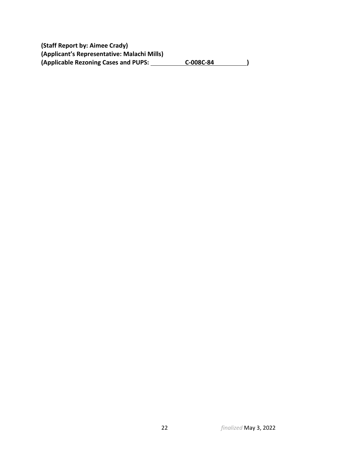**(Staff Report by: Aimee Crady) (Applicant's Representative: Malachi Mills)** (Applicable Rezoning Cases and PUPS: C-008C-84 )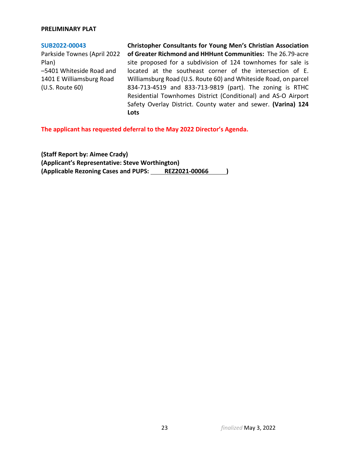#### **PRELIMINARY PLAT**

#### **[SUB2022-00043](https://henrico.us/pdfs/planning/2022/apr22/pod/sub2022-00043.pdf)**

Parkside Townes (April 2022 Plan) –5401 Whiteside Road and 1401 E Williamsburg Road (U.S. Route 60)

**Christopher Consultants for Young Men's Christian Association of Greater Richmond and HHHunt Communities:** The 26.79-acre site proposed for a subdivision of 124 townhomes for sale is located at the southeast corner of the intersection of E. Williamsburg Road (U.S. Route 60) and Whiteside Road, on parcel 834-713-4519 and 833-713-9819 (part). The zoning is RTHC Residential Townhomes District (Conditional) and AS-O Airport Safety Overlay District. County water and sewer. **(Varina) 124 Lots**

**The applicant has requested deferral to the May 2022 Director's Agenda.**

**(Staff Report by: Aimee Crady) (Applicant's Representative: Steve Worthington) (Applicable Rezoning Cases and PUPS: REZ2021-00066 )**